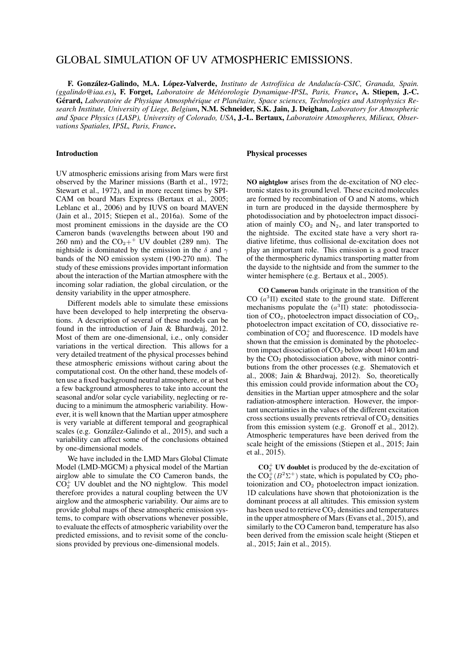# GLOBAL SIMULATION OF UV ATMOSPHERIC EMISSIONS.

F. González-Galindo, M.A. López-Valverde, *Instituto de Astrofísica de Andalucía-CSIC*, Granada, Spain. *(ggalindo@iaa.es)*, F. Forget, *Laboratoire de Met´ eorologie Dynamique-IPSL, Paris, France ´* , A. Stiepen, J.-C. Gérard, Laboratoire de Physique Atmosphérique et Planétaire, Space sciences, Technologies and Astrophysics Re*search Institute, University of Liege, Belgium*, N.M. Schneider, S.K. Jain, J. Deighan, *Laboratory for Atmospheric and Space Physics (LASP), University of Colorado, USA*, J.-L. Bertaux, *Laboratoire Atmospheres, Milieux, Observations Spatiales, IPSL, Paris, France*.

# Introduction

UV atmospheric emissions arising from Mars were first observed by the Mariner missions (Barth et al., 1972; Stewart et al., 1972), and in more recent times by SPI-CAM on board Mars Express (Bertaux et al., 2005; Leblanc et al., 2006) and by IUVS on board MAVEN (Jain et al., 2015; Stiepen et al., 2016a). Some of the most prominent emissions in the dayside are the CO Cameron bands (wavelengths between about 190 and 260 nm) and the  $CO_2$ <sup>++</sup> UV doublet (289 nm). The nightside is dominated by the emission in the  $\delta$  and  $\gamma$ bands of the NO emission system (190-270 nm). The study of these emissions provides important information about the interaction of the Martian atmosphere with the incoming solar radiation, the global circulation, or the density variability in the upper atmosphere.

Different models able to simulate these emissions have been developed to help interpreting the observations. A description of several of these models can be found in the introduction of Jain & Bhardwaj, 2012. Most of them are one-dimensional, i.e., only consider variations in the vertical direction. This allows for a very detailed treatment of the physical processes behind these atmospheric emissions without caring about the computational cost. On the other hand, these models often use a fixed background neutral atmosphere, or at best a few background atmospheres to take into account the seasonal and/or solar cycle variability, neglecting or reducing to a minimum the atmospheric variability. However, it is well known that the Martian upper atmosphere is very variable at different temporal and geographical scales (e.g. González-Galindo et al., 2015), and such a variability can affect some of the conclusions obtained by one-dimensional models.

We have included in the LMD Mars Global Climate Model (LMD-MGCM) a physical model of the Martian airglow able to simulate the CO Cameron bands, the  $CO<sub>2</sub><sup>+</sup>$  UV doublet and the NO nightglow. This model therefore provides a natural coupling between the UV airglow and the atmospheric variability. Our aims are to provide global maps of these atmospheric emission systems, to compare with observations whenever possible, to evaluate the effects of atmospheric variability over the predicted emissions, and to revisit some of the conclusions provided by previous one-dimensional models.

### Physical processes

NO nightglow arises from the de-excitation of NO electronic states to its ground level. These excited molecules are formed by recombination of O and N atoms, which in turn are produced in the dayside thermosphere by photodissociation and by photoelectron impact dissociation of mainly  $CO<sub>2</sub>$  and  $N<sub>2</sub>$ , and later transported to the nightside. The excited state have a very short radiative lifetime, thus collisional de-excitation does not play an important role. This emission is a good tracer of the thermospheric dynamics transporting matter from the dayside to the nightside and from the summer to the winter hemisphere (e.g. Bertaux et al., 2005).

CO Cameron bands originate in the transition of the CO  $(a^3\Pi)$  excited state to the ground state. Different mechanisms populate the  $(a^3\Pi)$  state: photodissociation of  $CO<sub>2</sub>$ , photoelectron impact dissociation of  $CO<sub>2</sub>$ , photoelectron impact excitation of CO, dissociative recombination of  $CO_2^+$  and fluorescence. 1D models have shown that the emission is dominated by the photoelectron impact dissociation of  $CO<sub>2</sub>$  below about 140 km and by the  $CO<sub>2</sub>$  photodissociation above, with minor contributions from the other processes (e.g. Shematovich et al., 2008; Jain & Bhardwaj, 2012). So, theoretically this emission could provide information about the  $CO<sub>2</sub>$ densities in the Martian upper atmosphere and the solar radiation-atmosphere interaction. However, the important uncertainties in the values of the different excitation cross sections usually prevents retrieval of  $CO<sub>2</sub>$  densities from this emission system (e.g. Gronoff et al., 2012). Atmospheric temperatures have been derived from the scale height of the emissions (Stiepen et al., 2015; Jain et al., 2015).

 $CO<sub>2</sub><sup>+</sup>$  UV doublet is produced by the de-excitation of the  $CO_2^+(B^2\Sigma^+)$  state, which is populated by  $CO_2$  photoionization and  $CO<sub>2</sub>$  photoelectron impact ionization. 1D calculations have shown that photoionization is the dominant process at all altitudes. This emission system has been used to retrieve CO<sub>2</sub> densities and temperatures in the upper atmosphere of Mars (Evans et al., 2015), and similarly to the CO Cameron band, temperature has also been derived from the emission scale height (Stiepen et al., 2015; Jain et al., 2015).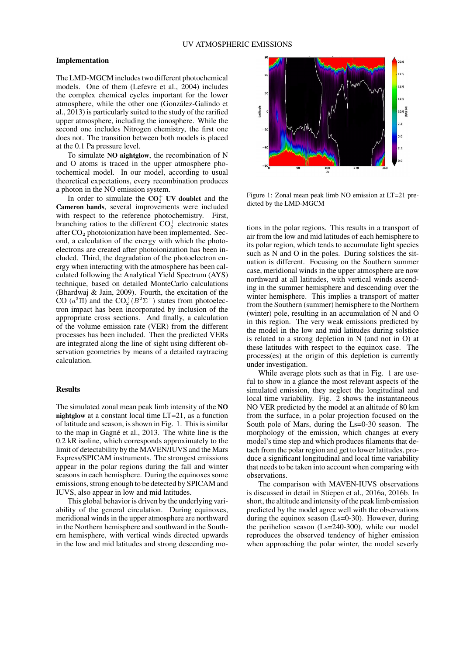### Implementation

The LMD-MGCM includes two different photochemical models. One of them (Lefevre et al., 2004) includes the complex chemical cycles important for the lower atmosphere, while the other one (Gonzalez-Galindo et ´ al., 2013) is particularly suited to the study of the rarified upper atmosphere, including the ionosphere. While the second one includes Nitrogen chemistry, the first one does not. The transition between both models is placed at the 0.1 Pa pressure level.

To simulate NO nightglow, the recombination of N and O atoms is traced in the upper atmosphere photochemical model. In our model, according to usual theoretical expectations, every recombination produces a photon in the NO emission system.

In order to simulate the  $CO<sub>2</sub><sup>+</sup>$  UV doublet and the Cameron bands, several improvements were included with respect to the reference photochemistry. First, branching ratios to the different  $CO<sub>2</sub><sup>+</sup>$  electronic states after  $CO<sub>2</sub>$  photoionization have been implemented. Second, a calculation of the energy with which the photoelectrons are created after photoionization has been included. Third, the degradation of the photoelectron energy when interacting with the atmosphere has been calculated following the Analytical Yield Spectrum (AYS) technique, based on detailed MonteCarlo calculations (Bhardwaj & Jain, 2009). Fourth, the excitation of the CO  $(a^3\Pi)$  and the CO<sub>2</sub><sup>+</sup>( $B^2\Sigma$ <sup>+</sup>) states from photoelectron impact has been incorporated by inclusion of the appropriate cross sections. And finally, a calculation of the volume emission rate (VER) from the different processes has been included. Then the predicted VERs are integrated along the line of sight using different observation geometries by means of a detailed raytracing calculation.

# Results

The simulated zonal mean peak limb intensity of the NO nightglow at a constant local time LT=21, as a function of latitude and season, is shown in Fig. 1. This is similar to the map in Gagné et al., 2013. The white line is the 0.2 kR isoline, which corresponds approximately to the limit of detectability by the MAVEN/IUVS and the Mars Express/SPICAM instruments. The strongest emissions appear in the polar regions during the fall and winter seasons in each hemisphere. During the equinoxes some emissions, strong enough to be detected by SPICAM and IUVS, also appear in low and mid latitudes.

This global behavior is driven by the underlying variability of the general circulation. During equinoxes, meridional winds in the upper atmosphere are northward in the Northern hemisphere and southward in the Southern hemisphere, with vertical winds directed upwards in the low and mid latitudes and strong descending mo-



Figure 1: Zonal mean peak limb NO emission at LT=21 predicted by the LMD-MGCM

tions in the polar regions. This results in a transport of air from the low and mid latitudes of each hemisphere to its polar region, which tends to accumulate light species such as N and O in the poles. During solstices the situation is different. Focusing on the Southern summer case, meridional winds in the upper atmosphere are now northward at all latitudes, with vertical winds ascending in the summer hemisphere and descending over the winter hemisphere. This implies a transport of matter from the Southern (summer) hemisphere to the Northern (winter) pole, resulting in an accumulation of N and O in this region. The very weak emissions predicted by the model in the low and mid latitudes during solstice is related to a strong depletion in N (and not in O) at these latitudes with respect to the equinox case. The process(es) at the origin of this depletion is currently under investigation.

While average plots such as that in Fig. 1 are useful to show in a glance the most relevant aspects of the simulated emission, they neglect the longitudinal and local time variability. Fig. 2 shows the instantaneous NO VER predicted by the model at an altitude of 80 km from the surface, in a polar projection focused on the South pole of Mars, during the Ls=0-30 season. The morphology of the emission, which changes at every model's time step and which produces filaments that detach from the polar region and get to lower latitudes, produce a significant longitudinal and local time variability that needs to be taken into account when comparing with observations.

The comparison with MAVEN-IUVS observations is discussed in detail in Stiepen et al., 2016a, 2016b. In short, the altitude and intensity of the peak limb emission predicted by the model agree well with the observations during the equinox season (Ls=0-30). However, during the perihelion season (Ls=240-300), while our model reproduces the observed tendency of higher emission when approaching the polar winter, the model severly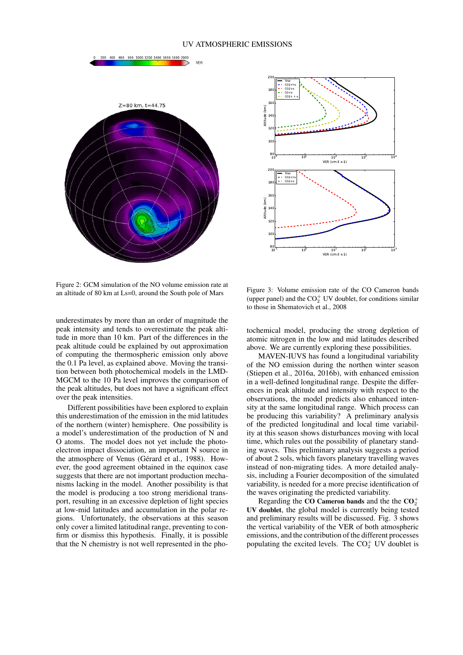## UV ATMOSPHERIC EMISSIONS



600 800 1000 1200 1400 1600 1800 2000

200 400



Figure 2: GCM simulation of the NO volume emission rate at an altitude of 80 km at Ls=0, around the South pole of Mars

underestimates by more than an order of magnitude the peak intensity and tends to overestimate the peak altitude in more than 10 km. Part of the differences in the peak altitude could be explained by out approximation of computing the thermospheric emission only above the 0.1 Pa level, as explained above. Moving the transition between both photochemical models in the LMD-MGCM to the 10 Pa level improves the comparison of the peak altitudes, but does not have a significant effect over the peak intensities.

Different possibilities have been explored to explain this underestimation of the emission in the mid latitudes of the northern (winter) hemisphere. One possibility is a model's underestimation of the production of N and O atoms. The model does not yet include the photoelectron impact dissociation, an important N source in the atmosphere of Venus (Gérard et al., 1988). However, the good agreement obtained in the equinox case suggests that there are not important production mechanisms lacking in the model. Another possibility is that the model is producing a too strong meridional transport, resulting in an excessive depletion of light species at low-mid latitudes and accumulation in the polar regions. Unfortunately, the observations at this season only cover a limited latitudinal range, preventing to confirm or dismiss this hypothesis. Finally, it is possible that the N chemistry is not well represented in the pho-

Figure 3: Volume emission rate of the CO Cameron bands (upper panel) and the  $CO<sub>2</sub><sup>+</sup>$  UV doublet, for conditions similar to those in Shematovich et al., 2008

tochemical model, producing the strong depletion of atomic nitrogen in the low and mid latitudes described above. We are currently exploring these possibilities.

MAVEN-IUVS has found a longitudinal variability of the NO emission during the northen winter season (Stiepen et al., 2016a, 2016b), with enhanced emission in a well-defined longitudinal range. Despite the differences in peak altitude and intensity with respect to the observations, the model predicts also enhanced intensity at the same longitudinal range. Which process can be producing this variability? A preliminary analysis of the predicted longitudinal and local time variability at this season shows disturbances moving with local time, which rules out the possibility of planetary standing waves. This preliminary analysis suggests a period of about 2 sols, which favors planetary travelling waves instead of non-migrating tides. A more detailed analysis, including a Fourier decomposition of the simulated variability, is needed for a more precise identification of the waves originating the predicted variability.

Regarding the CO Cameron bands and the the  $CO_2^+$ UV doublet, the global model is currently being tested and preliminary results will be discussed. Fig. 3 shows the vertical variability of the VER of both atmospheric emissions, and the contribution of the different processes populating the excited levels. The  $CO<sub>2</sub><sup>+</sup>$  UV doublet is